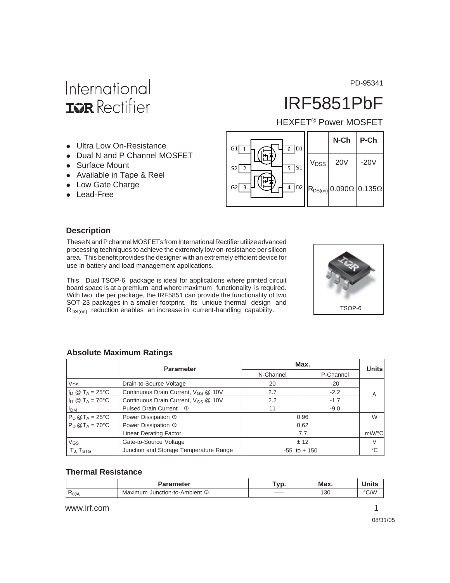PD-95341

# International **ISR** Rectifier

# IRF5851PbF

HEXFET® Power MOSFET

- Ultra Low On-Resistance
- Dual N and P Channel MOSFET
- Surface Mount
- Available in Tape & Reel
- Low Gate Charge
- Lead-Free



#### **Description**

These N and P channel MOSFETs from International Rectifier utilize advanced processing techniques to achieve the extremely low on-resistance per silicon area. This benefit provides the designer with an extremely efficient device for use in battery and load management applications.

This Dual TSOP-6 package is ideal for applications where printed circuit board space is at a premium and where maximum functionality is required. With two die per package, the IRF5851 can provide the functionality of two SOT-23 packages in a smaller footprint. Its unique thermal design and R<sub>DS(on)</sub> reduction enables an increase in current-handling capability.



#### **Absolute Maximum Ratings**

|                                 | <b>Parameter</b>                                | Max.            | <b>Units</b> |    |  |
|---------------------------------|-------------------------------------------------|-----------------|--------------|----|--|
|                                 |                                                 | N-Channel       | P-Channel    |    |  |
| $V_{DS}$                        | Drain-to-Source Voltage                         | 20              | $-20$        |    |  |
| $I_D \otimes T_A = 25$ °C       | Continuous Drain Current, V <sub>GS</sub> @ 10V | 2.7             | $-2.2$       | A  |  |
| $I_D \otimes T_A = 70^{\circ}C$ | Continuous Drain Current, V <sub>GS</sub> @ 10V | 2.2             | $-1.7$       |    |  |
| <sup>I</sup> DM                 | Pulsed Drain Current <sup>1</sup>               | 11              | $-9.0$       |    |  |
| $P_D$ @T <sub>A</sub> = 25°C    | Power Dissipation 3                             | 0.96            | W            |    |  |
| $P_D @T_A = 70^{\circ}C$        | Power Dissipation 3                             |                 | 0.62         |    |  |
|                                 | <b>Linear Derating Factor</b>                   | 7.7             | $mW$ /°C     |    |  |
| $V_{GS}$                        | Gate-to-Source Voltage                          |                 | ± 12         | V  |  |
| $T_{\rm J.}$ $T_{\rm STG}$      | Junction and Storage Temperature Range          | $-55$ to $+150$ |              | °C |  |

#### **Thermal Resistance**

|                | <b>Parameter</b>              | Tvn.<br>v                   | Max. | <b>Units</b>  |  |  |  |  |  |  |
|----------------|-------------------------------|-----------------------------|------|---------------|--|--|--|--|--|--|
| $R_{\theta$ JA | Maximum Junction-to-Ambient 3 | $\sim$ $\sim$ $\sim$ $\sim$ | 130  | $\degree$ C/W |  |  |  |  |  |  |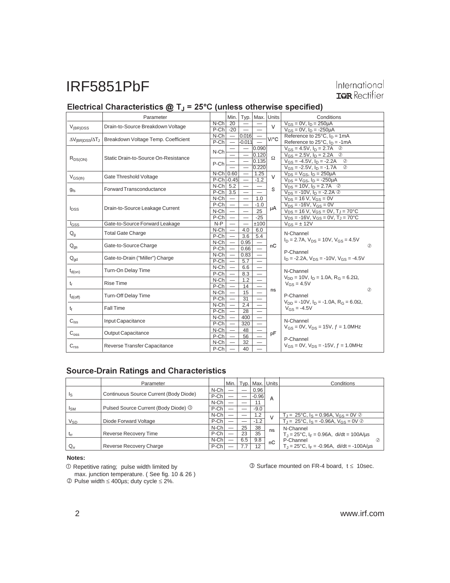# International<br>TRR Rectifier

### $\blacksquare$  Electrical Characteristics @ T」 = 25°C (unless otherwise specified)

|                                           | Parameter                            |                  | Min.                            |                               | Typ. Max. Units          |          | Conditions                                             |  |  |
|-------------------------------------------|--------------------------------------|------------------|---------------------------------|-------------------------------|--------------------------|----------|--------------------------------------------------------|--|--|
| $V_{(BR)DSS}$                             | Drain-to-Source Breakdown Voltage    | $N-Ch$ 20        |                                 | $\overline{\phantom{m}}$      |                          | $\vee$   | $V_{GS} = 0V$ , $I_D = 250 \mu A$                      |  |  |
|                                           |                                      | $P-Ch$ -20       |                                 | $\overline{\phantom{0}}$      |                          |          | $V_{GS} = 0V$ , $I_D = -250 \mu A$                     |  |  |
| $\Delta V_{\rm (BR)DSS}/\Delta T_{\rm J}$ | Breakdown Voltage Temp. Coefficient  | $N$ -Ch          | $\overline{\phantom{m}}$        | 0.016                         | $\overline{\phantom{m}}$ | V/°C     | Reference to $25^{\circ}$ C, $I_D = 1mA$               |  |  |
|                                           |                                      | $P-Ch$           | $\overline{\phantom{m}}$        | $-0.011$                      |                          |          | Reference to $25^{\circ}$ C, $I_D = -1$ mA             |  |  |
| $R_{DS(ON)}$                              | Static Drain-to-Source On-Resistance | N-Ch             |                                 | $\overline{\phantom{m}}$      | 0.090                    | $\Omega$ | $V_{GS} = 4.5V$ , $I_D = 2.7A$ <sup>②</sup>            |  |  |
|                                           |                                      |                  |                                 | $\overbrace{\phantom{13333}}$ | 0.120                    |          | $V_{GS} = 2.5V$ , $I_D = 2.2A$<br>$\circledcirc$       |  |  |
|                                           |                                      | P-Ch             |                                 |                               | 0.135                    |          | $V_{GS} = -4.5V$ , $I_D = -2.2A$<br>$\circled{2}$      |  |  |
|                                           |                                      |                  |                                 |                               | 0.220                    |          | $V_{GS} = -2.5V$ , $I_D = -1.7A$<br>$\circledcirc$     |  |  |
| $V_{GS(th)}$                              | Gate Threshold Voltage               | $N$ -Ch $ 0.60 $ |                                 | $\overline{\phantom{m}}$      | 1.25                     | $\vee$   | $V_{DS} = V_{GS}$ , $I_D = 250 \mu A$                  |  |  |
|                                           |                                      | $P-Ch$ -0.45     |                                 | $\overline{\phantom{m}}$      | $-1.2$                   |          | $V_{DS} = V_{GS}$ , $I_D = -250 \mu A$                 |  |  |
| $g_{fs}$                                  | <b>Forward Transconductance</b>      | $N-Ch$ 5.2       |                                 |                               |                          | S        | $V_{DS} = 10V$ , $I_D = 2.7A$ ②                        |  |  |
|                                           |                                      | $P-Ch$ 3.5       |                                 |                               |                          |          | $V_{DS}$ = -10V, $I_D$ = -2.2A $\oslash$               |  |  |
|                                           |                                      | $N$ -Ch $ $      | $\overline{\phantom{0}}$        |                               | 1.0                      |          | $V_{DS}$ = 16 V, $V_{GS}$ = 0V                         |  |  |
| $I_{DSS}$                                 | Drain-to-Source Leakage Current      | $P-Ch$           | $\overline{\phantom{m}}$        |                               | $-1.0$                   | μA       | $V_{DS}$ = -16V, $V_{GS}$ = 0V                         |  |  |
|                                           |                                      | $N$ -Ch $\vert$  |                                 |                               | 25                       |          | $V_{DS} = 16 V$ , $V_{GS} = 0V$ , $T_J = 70$ °C        |  |  |
|                                           |                                      | $P-Ch$           |                                 | $\overline{\phantom{0}}$      | $-25$                    |          | $V_{DS}$ = -16V, $V_{GS}$ = 0V, $T_J$ = 70°C           |  |  |
| lgss                                      | Gate-to-Source Forward Leakage       | $N-P$            |                                 | $\overline{\phantom{0}}$      | ±100                     |          | $V_{GS} = \pm 12V$                                     |  |  |
| $Q_{q}$                                   | <b>Total Gate Charge</b>             | $N$ -Ch $ $      | $\overline{\phantom{m}}$        | 4.0                           | 6.0                      |          | N-Channel                                              |  |  |
|                                           |                                      | $P-Ch$           | $\overline{\phantom{m}}$        | 3.6                           | 5.4                      |          | $I_D = 2.7A$ , $V_{DS} = 10V$ , $V_{GS} = 4.5V$        |  |  |
| $Q_{\text{qs}}$                           | Gate-to-Source Charge                | $N$ -Ch          | $\overline{\phantom{m}}$        | 0.95                          | $\qquad \qquad -$        | nC       | $^{\circ}$                                             |  |  |
|                                           |                                      | $P-Ch$           | $\overline{\phantom{m}}$        | 0.66                          | $\overline{\phantom{0}}$ |          | P-Channel                                              |  |  |
| $Q_{\text{dd}}$                           | Gate-to-Drain ("Miller") Charge      | $N$ -Ch $\vert$  | $\hspace{0.1mm}-\hspace{0.1mm}$ | 0.83                          |                          |          | $I_D$ = -2.2A, $V_{DS}$ = -10V, $V_{GS}$ = -4.5V       |  |  |
|                                           |                                      | $P-Ch$           | $\overline{\phantom{m}}$        | 5.7                           |                          |          |                                                        |  |  |
| $t_{d(on)}$                               | Turn-On Delay Time                   | $N$ -Ch $ $      | $\overline{\phantom{m}}$        | 6.6                           |                          |          | N-Channel                                              |  |  |
|                                           |                                      | $P-Ch$           | $\overline{\phantom{m}}$        | 8.3                           |                          |          | $V_{DD}$ = 10V, $I_D$ = 1.0A, $R_G$ = 6.2 $\Omega$ ,   |  |  |
| t,                                        | <b>Rise Time</b>                     | $N$ -Ch $ $      |                                 | 1.2                           |                          |          | $V_{GS} = 4.5V$                                        |  |  |
|                                           |                                      | $P-Ch$           | $\hspace{0.1mm}-\hspace{0.1mm}$ | 14                            |                          | ns       | $\circled{2}$                                          |  |  |
| $t_{d(off)}$                              | <b>Turn-Off Delay Time</b>           | $N$ -Ch          |                                 | 15                            |                          |          | P-Channel                                              |  |  |
|                                           |                                      | $P-Ch$           |                                 | 31                            | $\overline{\phantom{0}}$ |          | $V_{DD}$ = -10V, $I_D$ = -1.0A, $R_G$ = 6.0 $\Omega$ , |  |  |
| t                                         | Fall Time                            | $N$ -Ch          |                                 | 2.4                           | $\overline{\phantom{0}}$ |          | $V_{GS} = -4.5V$                                       |  |  |
|                                           |                                      | P-Ch             |                                 | 28                            | $\overline{\phantom{0}}$ |          |                                                        |  |  |
| $C_{iss}$                                 | Input Capacitance                    | $N$ -Ch          |                                 | 400                           |                          |          | N-Channel                                              |  |  |
|                                           |                                      | $P-Ch$           |                                 | 320                           | $\overline{\phantom{0}}$ |          | $V_{GS} = 0V$ , $V_{DS} = 15V$ , $f = 1.0$ MHz         |  |  |
| $\mathrm{C_{oss}}$                        | Output Capacitance                   | $N$ -Ch          |                                 | 48                            |                          | pF       |                                                        |  |  |
|                                           |                                      | $P-Ch$           |                                 | 56                            | $\overline{\phantom{0}}$ |          | P-Channel                                              |  |  |
| $C_{\text{rss}}$                          | Reverse Transfer Capacitance         | $N$ -Ch          |                                 | 32                            |                          |          | $V_{GS} = 0V$ , $V_{DS} = -15V$ , $f = 1.0 MHz$        |  |  |
|                                           |                                      | P-Ch             |                                 | 40                            |                          |          |                                                        |  |  |

#### **Source-Drain Ratings and Characteristics**

|                 | Parameter                              |         | Min. |     |         | Typ.   Max.   Units | Conditions                                                                      |
|-----------------|----------------------------------------|---------|------|-----|---------|---------------------|---------------------------------------------------------------------------------|
|                 | Continuous Source Current (Body Diode) | N-Ch    |      |     | 0.96    |                     |                                                                                 |
| ls              |                                        | P-Ch    |      |     | $-0.96$ | A                   |                                                                                 |
|                 |                                        | $N$ -Ch |      |     | 11      |                     |                                                                                 |
| $I_{SM}$        | Pulsed Source Current (Body Diode) ①   | $P-Ch$  |      |     | $-9.0$  |                     |                                                                                 |
|                 |                                        | $N$ -Ch |      |     | 1.2     |                     | $T_{\rm J}$ = 25°C, $I_{\rm S}$ = 0.96A, $V_{\rm GS}$ = 0V $\oslash$            |
| V <sub>SD</sub> | Diode Forward Voltage                  | P-Ch    |      |     | $-1.2$  |                     | $T_{\rm J} = 25^{\circ}$ C, $I_{\rm S} = -0.96$ A, $V_{\rm GS} = 0$ V $\oslash$ |
|                 |                                        | $N$ -Ch |      | 25  | 38      | ns                  | N-Channel                                                                       |
| $t_{rr}$        | Reverse Recovery Time                  | $P-Ch$  |      | 23  | 35      |                     | $T_1 = 25^{\circ}$ C, $I_F = 0.96$ A, di/dt = 100A/us                           |
|                 |                                        | $N$ -Ch |      | 6.5 | 9.8     | nC                  | P-Channel                                                                       |
| $Q_{rr}$        | Reverse Recovery Charge                | P-Ch    |      | 7.7 | 12      |                     | $T_{\rm J} = 25^{\circ}$ C, I <sub>F</sub> = -0.96A, di/dt = -100A/us           |

#### **Notes:**

Repetitive rating; pulse width limited by

max. junction temperature. ( See fig. 10 & 26 ) Pulse width ≤ 400µs; duty cycle ≤ 2%.

 $\textcircled{3}$  Surface mounted on FR-4 board,  $t \leq 10$ sec.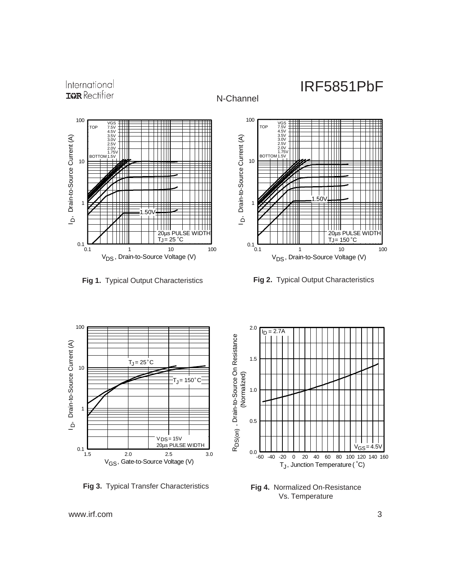





N-Channel

**Fig 1.** Typical Output Characteristics **Fig 2.** Typical Output Characteristics



**Fig 3.** Typical Transfer Characteristics



**Fig 4.** Normalized On-Resistance Vs. Temperature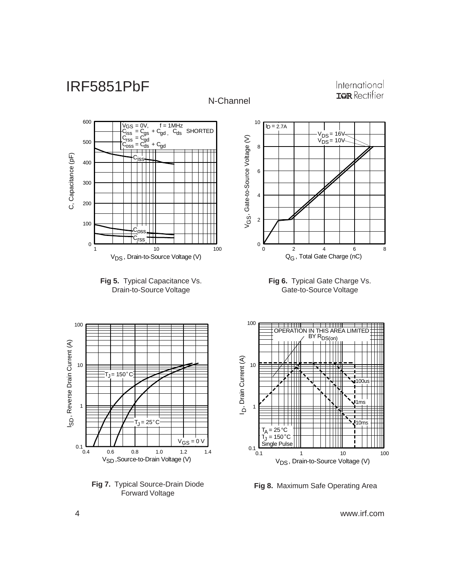

**Fig 8.** Maximum Safe Operating Area

4 www.irf.com

Forward Voltage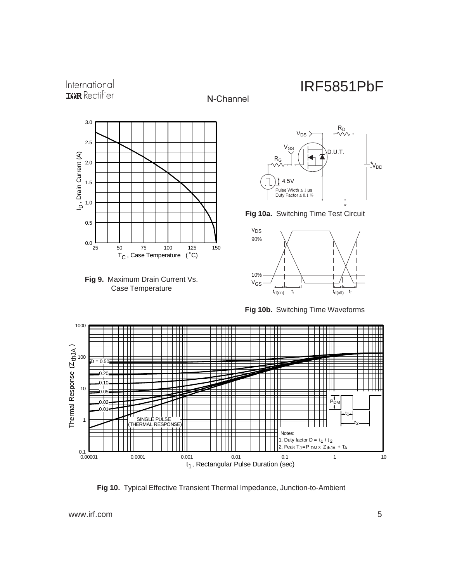### International **IGR** Rectifier









**Fig 10a.** Switching Time Test Circuit



**Fig 10b.** Switching Time Waveforms



N-Channel

**Fig 10.** Typical Effective Transient Thermal Impedance, Junction-to-Ambient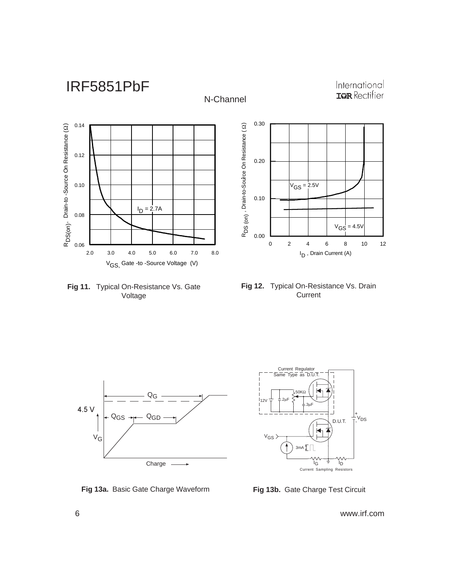

**Fig 11.** Typical On-Resistance Vs. Gate Voltage





**Fig 13a.** Basic Gate Charge Waveform **Fig 13b.** Gate Charge Test Circuit

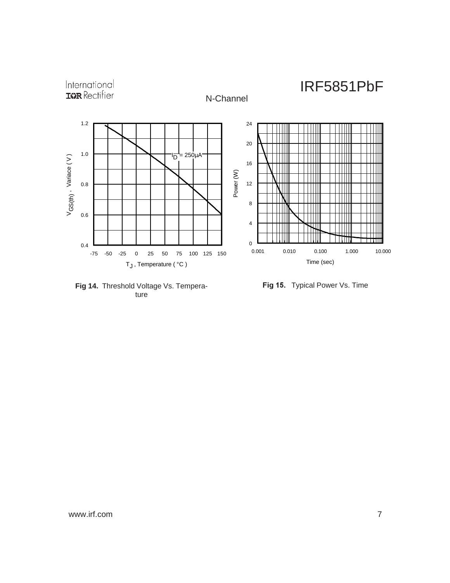

**Fig 14.** Threshold Voltage Vs. Temperature

Fig 15. Typical Power Vs. Time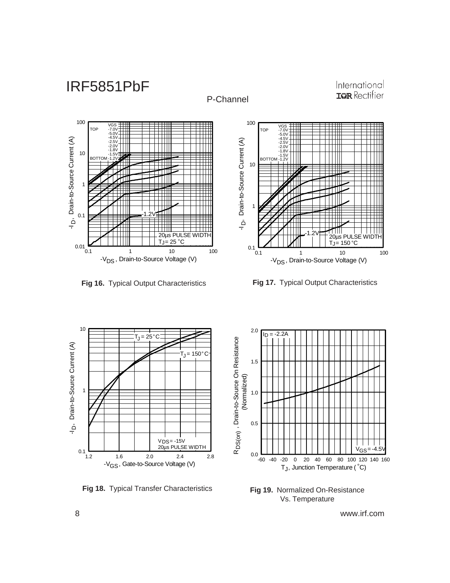



International **IGR** Rectifier

**Fig 16.** Typical Output Characteristics **Fig 17.** Typical Output Characteristics



**Fig 18.** Typical Transfer Characteristics



**Fig 19.** Normalized On-Resistance Vs. Temperature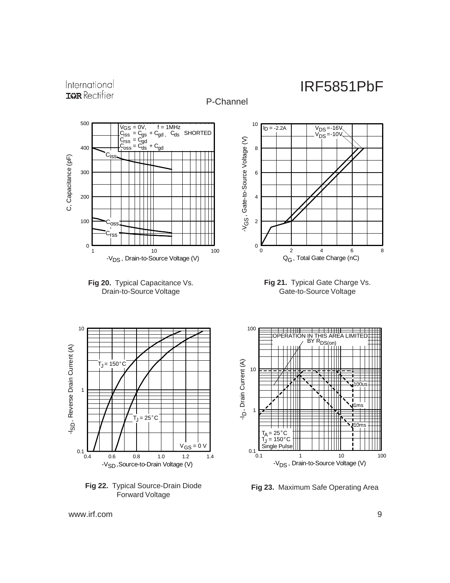International **IGR** Rectifier



**Fig 23.** Maximum Safe Operating Area

www.irf.com 9

**Fig 22.** Typical Source-Drain Diode Forward Voltage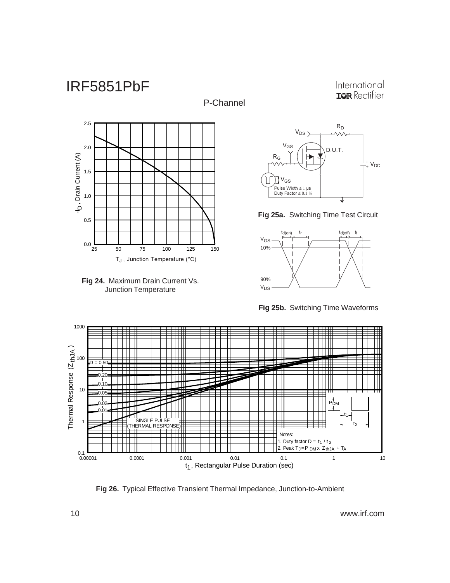P-Channel

International **IGR** Rectifier







### **Fig 25a.** Switching Time Test Circuit



**Fig 25b.** Switching Time Waveforms



**Fig 26.** Typical Effective Transient Thermal Impedance, Junction-to-Ambient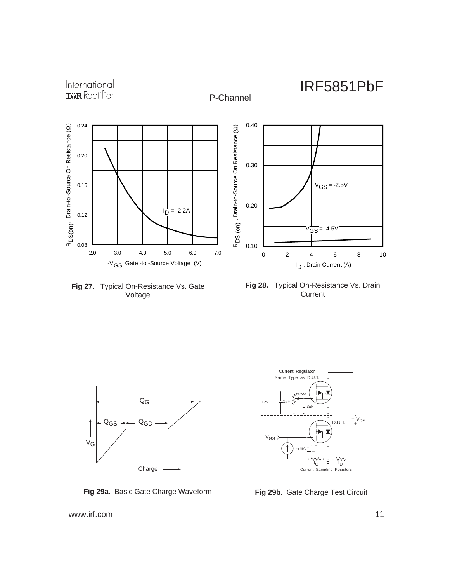

P-Channel

**Fig 27.** Typical On-Resistance Vs. Gate Voltage





**Fig 29a.** Basic Gate Charge Waveform **Fig 29b.** Gate Charge Test Circuit

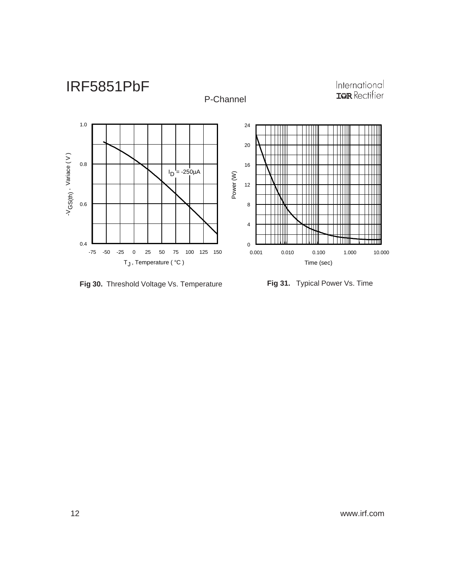

**Fig 30.** Threshold Voltage Vs. Temperature **Fig 31.** Typical Power Vs. Time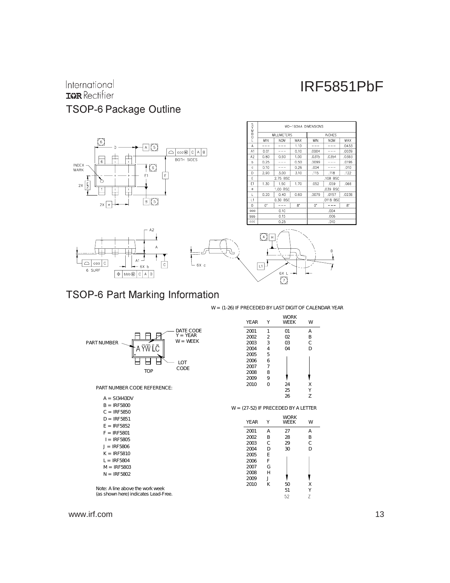# International<br>**IGR** Rectifier TSOP-6 Package Outline



### TSOP-6 Part Marking Information

W = (1-26) IF PRECEDED BY LAST DIGIT OF CALENDAR YEAR

|                                      | YE AR | Υ              | <b>WORK</b><br><b>WEEK</b>         | W            |
|--------------------------------------|-------|----------------|------------------------------------|--------------|
| DATE CODE                            | 2001  | 1              | 01                                 | Α            |
| $Y = YEAR$                           | 2002  | $\overline{2}$ | 02                                 | B            |
| $W = WEEK$<br>PART NUMBER            | 2003  | 3              | 03                                 | C            |
| A YW LC                              | 2004  | 4              | 04                                 | D            |
|                                      | 2005  | 5              |                                    |              |
| $\overline{C}$                       | 2006  | 6              |                                    |              |
| CODE                                 | 2007  | $\overline{7}$ |                                    |              |
| TOP                                  | 2008  | 8              |                                    |              |
|                                      | 2009  | 9              |                                    |              |
| PART NUMBER CODE REFERENCE:          | 2010  | 0              | 24                                 | X            |
|                                      |       |                | 25                                 | Y            |
| $A = S13443DV$                       |       |                | 26                                 | Z            |
| $B = IRF5800$                        |       |                |                                    |              |
| $C = IRF 5850$                       |       |                | W = (27-52) IF PRECEDED BY ALETTER |              |
| $D = IRF 5851$                       |       |                | <b>WORK</b>                        |              |
| $E = IRF5852$                        | YE AR | Υ              | <b>WEEK</b>                        | W            |
| $F = IRF5801$                        | 2001  | A              | 27                                 | A            |
| $I = IRF 5805$                       | 2002  | B              | 28                                 | B            |
|                                      | 2003  | C              | 29                                 | $\mathsf{C}$ |
| $J = IRF5806$                        | 2004  | D              | 30                                 | D            |
| $K = IRF5810$                        | 2005  | Ε              |                                    |              |
| $L = IRF5804$                        | 2006  | F              |                                    |              |
| $M = IRF5803$                        | 2007  | G              |                                    |              |
| $N = IRF 5802$                       | 2008  | H              |                                    |              |
|                                      | 2009  | J              |                                    |              |
| Note: A line above the work week     | 2010  | K              | 50                                 | Χ            |
| (as shown here) indicates Lead-Free. |       |                | 51                                 | Υ            |
|                                      |       |                | 52                                 |              |